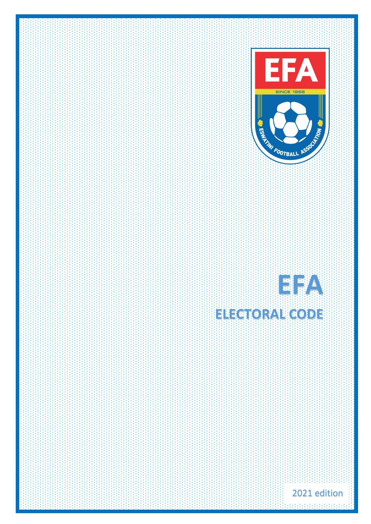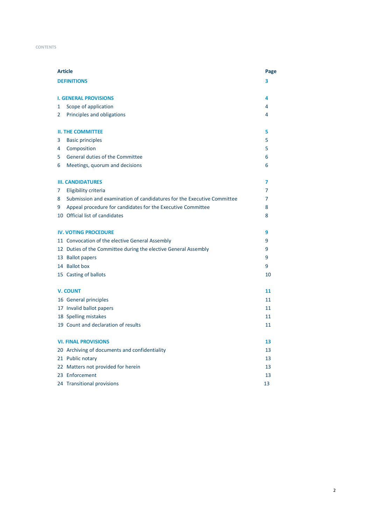### **CONTENTS**

| <b>Article</b> |                                                                        | Page           |
|----------------|------------------------------------------------------------------------|----------------|
|                | <b>DEFINITIONS</b>                                                     | 3              |
|                |                                                                        |                |
|                | <b>I. GENERAL PROVISIONS</b>                                           | 4              |
| 1              | Scope of application                                                   | 4              |
| 2              | Principles and obligations                                             | 4              |
|                | <b>II. THE COMMITTEE</b>                                               | 5              |
| 3              | <b>Basic principles</b>                                                | 5              |
| 4              | Composition                                                            | 5              |
| 5              | General duties of the Committee                                        | 6              |
| 6              | Meetings, quorum and decisions                                         | 6              |
|                | <b>III. CANDIDATURES</b>                                               | 7              |
| 7              | Eligibility criteria                                                   | $\overline{7}$ |
| 8              | Submission and examination of candidatures for the Executive Committee | 7              |
| 9              | Appeal procedure for candidates for the Executive Committee            | 8              |
|                | 10 Official list of candidates                                         | 8              |
|                |                                                                        |                |
|                | <b>IV. VOTING PROCEDURE</b>                                            | 9              |
|                | 11 Convocation of the elective General Assembly                        | 9              |
|                | 12 Duties of the Committee during the elective General Assembly        | 9              |
|                | 13 Ballot papers                                                       | 9              |
|                | 14 Ballot box                                                          | 9              |
|                | 15 Casting of ballots                                                  | 10             |
|                | <b>V. COUNT</b>                                                        | 11             |
|                | 16 General principles                                                  | 11             |
|                | 17 Invalid ballot papers                                               | 11             |
|                | 18 Spelling mistakes                                                   | 11             |
|                | 19 Count and declaration of results                                    | 11             |
|                | <b>VI. FINAL PROVISIONS</b>                                            | 13             |
|                | 20 Archiving of documents and confidentiality                          | 13             |
|                | 21 Public notary                                                       | 13             |
|                | 22 Matters not provided for herein                                     | 13             |
|                | 23 Enforcement                                                         | 13             |
|                | 24 Transitional provisions                                             | 13             |
|                |                                                                        |                |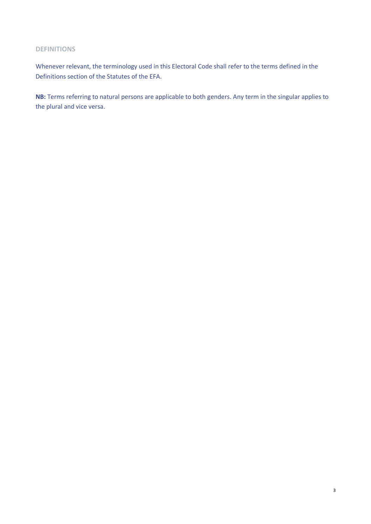# **DEFINITIONS**

Whenever relevant, the terminology used in this Electoral Code shall refer to the terms defined in the Definitions section of the Statutes of the EFA.

**NB:** Terms referring to natural persons are applicable to both genders. Any term in the singular applies to the plural and vice versa.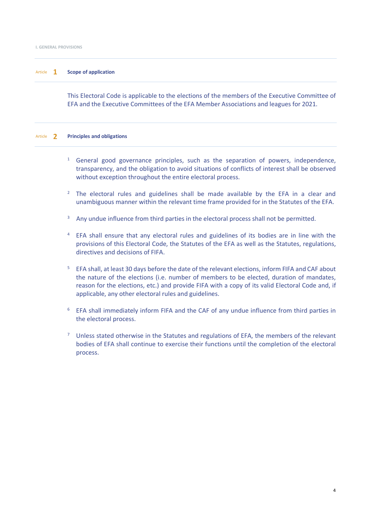# Article **1 Scope of application**

This Electoral Code is applicable to the elections of the members of the Executive Committee of EFA and the Executive Committees of the EFA Member Associations and leagues for 2021.

#### Article **2 Principles and obligations**

- <sup>1</sup> General good governance principles, such as the separation of powers, independence, transparency, and the obligation to avoid situations of conflicts of interest shall be observed without exception throughout the entire electoral process.
- <sup>2</sup> The electoral rules and guidelines shall be made available by the EFA in a clear and unambiguous manner within the relevant time frame provided for in the Statutes of the EFA.
- <sup>3</sup> Any undue influence from third parties in the electoral process shall not be permitted.
- <sup>4</sup> EFA shall ensure that any electoral rules and guidelines of its bodies are in line with the provisions of this Electoral Code, the Statutes of the EFA as well as the Statutes, regulations, directives and decisions of FIFA.
- <sup>5</sup> EFA shall, at least 30 days before the date of the relevant elections, inform FIFA and CAF about the nature of the elections (i.e. number of members to be elected, duration of mandates, reason for the elections, etc.) and provide FIFA with a copy of its valid Electoral Code and, if applicable, any other electoral rules and guidelines.
- <sup>6</sup> EFA shall immediately inform FIFA and the CAF of any undue influence from third parties in the electoral process.
- Unless stated otherwise in the Statutes and regulations of EFA, the members of the relevant bodies of EFA shall continue to exercise their functions until the completion of the electoral process.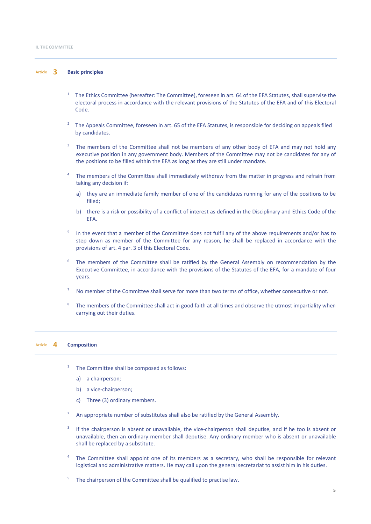# Article **3 Basic principles**

- <sup>1</sup> The Ethics Committee (hereafter: The Committee), foreseen in art. 64 of the EFA Statutes, shall supervise the electoral process in accordance with the relevant provisions of the Statutes of the EFA and of this Electoral Code.
- <sup>2</sup> The Appeals Committee, foreseen in art. 65 of the EFA Statutes, is responsible for deciding on appeals filed by candidates.
- <sup>3</sup> The members of the Committee shall not be members of any other body of EFA and may not hold any executive position in any government body. Members of the Committee may not be candidates for any of the positions to be filled within the EFA as long as they are still under mandate.
- <sup>4</sup> The members of the Committee shall immediately withdraw from the matter in progress and refrain from taking any decision if:
	- a) they are an immediate family member of one of the candidates running for any of the positions to be filled;
	- b) there is a risk or possibility of a conflict of interest as defined in the Disciplinary and Ethics Code of the EFA.
- In the event that a member of the Committee does not fulfil any of the above requirements and/or has to step down as member of the Committee for any reason, he shall be replaced in accordance with the provisions of art. 4 par. 3 of this Electoral Code.
- The members of the Committee shall be ratified by the General Assembly on recommendation by the Executive Committee, in accordance with the provisions of the Statutes of the EFA, for a mandate of four years.
- <sup>7</sup> No member of the Committee shall serve for more than two terms of office, whether consecutive or not.
- The members of the Committee shall act in good faith at all times and observe the utmost impartiality when carrying out their duties.

## Article **4 Composition**

- The Committee shall be composed as follows:
	- a) a chairperson;
	- b) a vice-chairperson;
	- c) Three (3) ordinary members.
- <sup>2</sup> An appropriate number of substitutes shall also be ratified by the General Assembly.
- <sup>3</sup> If the chairperson is absent or unavailable, the vice-chairperson shall deputise, and if he too is absent or unavailable, then an ordinary member shall deputise. Any ordinary member who is absent or unavailable shall be replaced by a substitute.
- The Committee shall appoint one of its members as a secretary, who shall be responsible for relevant logistical and administrative matters. He may call upon the general secretariat to assist him in his duties.
- $5$  The chairperson of the Committee shall be qualified to practise law.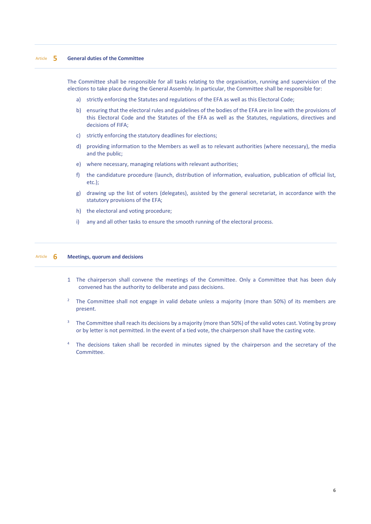# Article **5 General duties of the Committee**

The Committee shall be responsible for all tasks relating to the organisation, running and supervision of the elections to take place during the General Assembly. In particular, the Committee shall be responsible for:

- a) strictly enforcing the Statutes and regulations of the EFA as well as this Electoral Code;
- b) ensuring that the electoral rules and guidelines of the bodies of the EFA are in line with the provisions of this Electoral Code and the Statutes of the EFA as well as the Statutes, regulations, directives and decisions of FIFA;
- c) strictly enforcing the statutory deadlines for elections;
- d) providing information to the Members as well as to relevant authorities (where necessary), the media and the public;
- e) where necessary, managing relations with relevant authorities;
- f) the candidature procedure (launch, distribution of information, evaluation, publication of official list, etc.);
- g) drawing up the list of voters (delegates), assisted by the general secretariat, in accordance with the statutory provisions of the EFA;
- h) the electoral and voting procedure;
- i) any and all other tasks to ensure the smooth running of the electoral process.

### Article **6 Meetings, quorum and decisions**

- 1 The chairperson shall convene the meetings of the Committee. Only a Committee that has been duly convened has the authority to deliberate and pass decisions.
- <sup>2</sup> The Committee shall not engage in valid debate unless a majority (more than 50%) of its members are present.
- <sup>3</sup> The Committee shall reach its decisions by a majority (more than 50%) of the valid votes cast. Voting by proxy or by letter is not permitted. In the event of a tied vote, the chairperson shall have the casting vote.
- <sup>4</sup> The decisions taken shall be recorded in minutes signed by the chairperson and the secretary of the **Committee**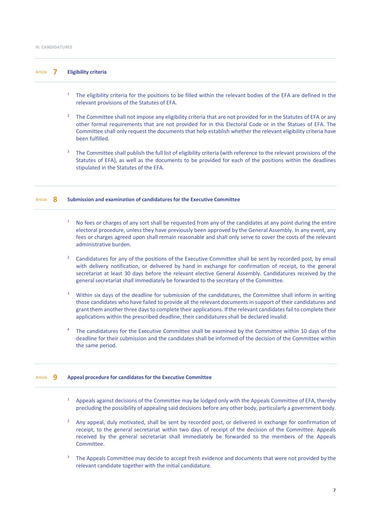# Article **7 Eligibility criteria**

- <sup>1</sup> The eligibility criteria for the positions to be filled within the relevant bodies of the EFA are defined in the relevant provisions of the Statutes of EFA.
- <sup>2</sup> The Committee shall not impose any eligibility criteria that are not provided for in the Statutes of EFA or any other formal requirements that are not provided for in this Electoral Code or in the Statues of EFA. The Committee shall only request the documents that help establish whether the relevant eligibility criteria have been fulfilled.
- The Committee shall publish the full list of eligibility criteria (with reference to the relevant provisions of the Statutes of EFA), as well as the documents to be provided for each of the positions within the deadlines stipulated in the Statutes of the EFA.

#### Article **8 Submission and examination of candidatures for the Executive Committee**

- No fees or charges of any sort shall be requested from any of the candidates at any point during the entire electoral procedure, unless they have previously been approved by the General Assembly. In any event, any fees or charges agreed upon shall remain reasonable and shall only serve to cover the costs of the relevant administrative burden.
- <sup>2</sup> Candidatures for any of the positions of the Executive Committee shall be sent by recorded post, by email with delivery notification, or delivered by hand in exchange for confirmation of receipt, to the general secretariat at least 30 days before the relevant elective General Assembly. Candidatures received by the general secretariat shall immediately be forwarded to the secretary of the Committee.
- $3$  Within six days of the deadline for submission of the candidatures, the Committee shall inform in writing those candidates who have failed to provide all the relevant documents in support of their candidatures and grant them another three days to complete their applications. If the relevant candidates fail to complete their applications within the prescribed deadline, their candidatures shall be declared invalid.
- <sup>4</sup> The candidatures for the Executive Committee shall be examined by the Committee within 10 days of the deadline for their submission and the candidates shall be informed of the decision of the Committee within the same period.

# Article **9 Appeal procedure for candidates for the Executive Committee**

- Appeals against decisions of the Committee may be lodged only with the Appeals Committee of EFA, thereby precluding the possibility of appealing said decisions before any other body, particularly a government body.
- Any appeal, duly motivated, shall be sent by recorded post, or delivered in exchange for confirmation of receipt, to the general secretariat within two days of receipt of the decision of the Committee. Appeals received by the general secretariat shall immediately be forwarded to the members of the Appeals Committee.
- <sup>3</sup> The Appeals Committee may decide to accept fresh evidence and documents that were not provided by the relevant candidate together with the initial candidature.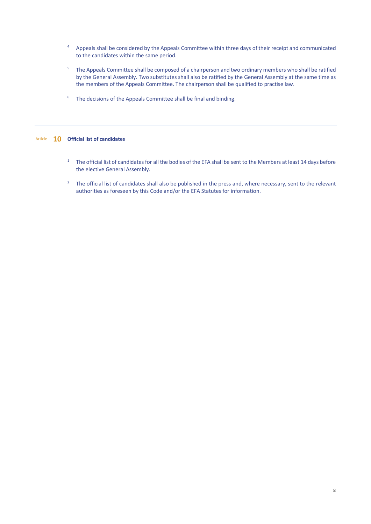- <sup>4</sup> Appeals shall be considered by the Appeals Committee within three days of their receipt and communicated to the candidates within the same period.
- <sup>5</sup> The Appeals Committee shall be composed of a chairperson and two ordinary members who shall be ratified by the General Assembly. Two substitutes shall also be ratified by the General Assembly at the same time as the members of the Appeals Committee. The chairperson shall be qualified to practise law.
- $6$  The decisions of the Appeals Committee shall be final and binding.

# Article **10 Official list of candidates**

- <sup>1</sup> The official list of candidates for all the bodies of the EFA shall be sent to the Members at least 14 days before the elective General Assembly.
- <sup>2</sup> The official list of candidates shall also be published in the press and, where necessary, sent to the relevant authorities as foreseen by this Code and/or the EFA Statutes for information.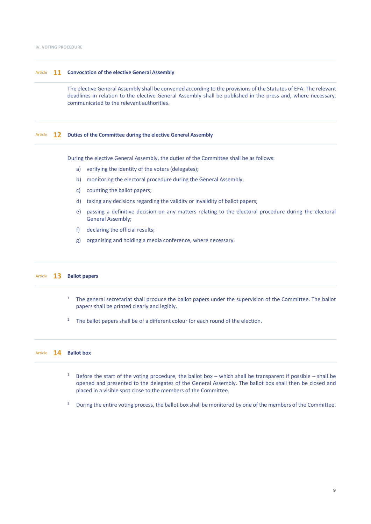# Article **11 Convocation of the elective General Assembly**

The elective General Assembly shall be convened according to the provisions of the Statutes of EFA. The relevant deadlines in relation to the elective General Assembly shall be published in the press and, where necessary, communicated to the relevant authorities.

# Article **12 Duties of the Committee during the elective General Assembly**

During the elective General Assembly, the duties of the Committee shall be as follows:

- a) verifying the identity of the voters (delegates);
- b) monitoring the electoral procedure during the General Assembly;
- c) counting the ballot papers;
- d) taking any decisions regarding the validity or invalidity of ballot papers;
- e) passing a definitive decision on any matters relating to the electoral procedure during the electoral General Assembly;
- f) declaring the official results;
- g) organising and holding a media conference, where necessary.

# Article **13 Ballot papers**

- <sup>1</sup> The general secretariat shall produce the ballot papers under the supervision of the Committee. The ballot papers shall be printed clearly and legibly.
- The ballot papers shall be of a different colour for each round of the election.

# Article **14 Ballot box**

- <sup>1</sup> Before the start of the voting procedure, the ballot box which shall be transparent if possible shall be opened and presented to the delegates of the General Assembly. The ballot box shall then be closed and placed in a visible spot close to the members of the Committee.
- <sup>2</sup> During the entire voting process, the ballot box shall be monitored by one of the members of the Committee.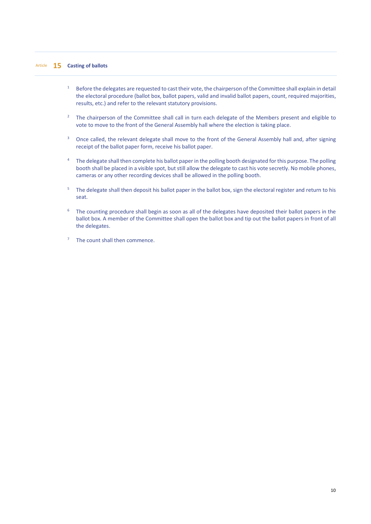- <sup>1</sup> Before the delegates are requested to cast their vote, the chairperson of the Committee shall explain in detail the electoral procedure (ballot box, ballot papers, valid and invalid ballot papers, count, required majorities, results, etc.) and refer to the relevant statutory provisions.
- <sup>2</sup> The chairperson of the Committee shall call in turn each delegate of the Members present and eligible to vote to move to the front of the General Assembly hall where the election is taking place.
- <sup>3</sup> Once called, the relevant delegate shall move to the front of the General Assembly hall and, after signing receipt of the ballot paper form, receive his ballot paper.
- <sup>4</sup> The delegate shall then complete his ballot paper in the polling booth designated for this purpose. The polling booth shall be placed in a visible spot, but still allow the delegate to cast his vote secretly. No mobile phones, cameras or any other recording devices shall be allowed in the polling booth.
- <sup>5</sup> The delegate shall then deposit his ballot paper in the ballot box, sign the electoral register and return to his seat.
- $6$  The counting procedure shall begin as soon as all of the delegates have deposited their ballot papers in the ballot box. A member of the Committee shall open the ballot box and tip out the ballot papers in front of all the delegates.
- <sup>7</sup> The count shall then commence.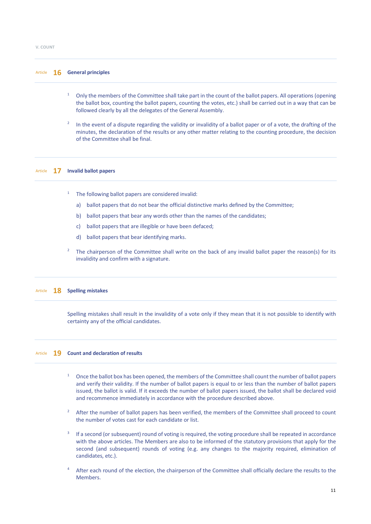## Article **16 General principles**

- <sup>1</sup> Only the members of the Committee shall take part in the count of the ballot papers. All operations (opening the ballot box, counting the ballot papers, counting the votes, etc.) shall be carried out in a way that can be followed clearly by all the delegates of the General Assembly.
- <sup>2</sup> In the event of a dispute regarding the validity or invalidity of a ballot paper or of a vote, the drafting of the minutes, the declaration of the results or any other matter relating to the counting procedure, the decision of the Committee shall be final.

#### Article **17 Invalid ballot papers**

- <sup>1</sup> The following ballot papers are considered invalid:
	- a) ballot papers that do not bear the official distinctive marks defined by the Committee;
	- b) ballot papers that bear any words other than the names of the candidates;
	- c) ballot papers that are illegible or have been defaced;
	- d) ballot papers that bear identifying marks.
- The chairperson of the Committee shall write on the back of any invalid ballot paper the reason(s) for its invalidity and confirm with a signature.

#### Article **18 Spelling mistakes**

Spelling mistakes shall result in the invalidity of a vote only if they mean that it is not possible to identify with certainty any of the official candidates.

#### Article **19 Count and declaration of results**

- <sup>1</sup> Once the ballot box has been opened, the members of the Committee shall count the number of ballot papers and verify their validity. If the number of ballot papers is equal to or less than the number of ballot papers issued, the ballot is valid. If it exceeds the number of ballot papers issued, the ballot shall be declared void and recommence immediately in accordance with the procedure described above.
- After the number of ballot papers has been verified, the members of the Committee shall proceed to count the number of votes cast for each candidate or list.
- If a second (or subsequent) round of voting is required, the voting procedure shall be repeated in accordance with the above articles. The Members are also to be informed of the statutory provisions that apply for the second (and subsequent) rounds of voting (e.g. any changes to the majority required, elimination of candidates, etc.).
- <sup>4</sup> After each round of the election, the chairperson of the Committee shall officially declare the results to the Members.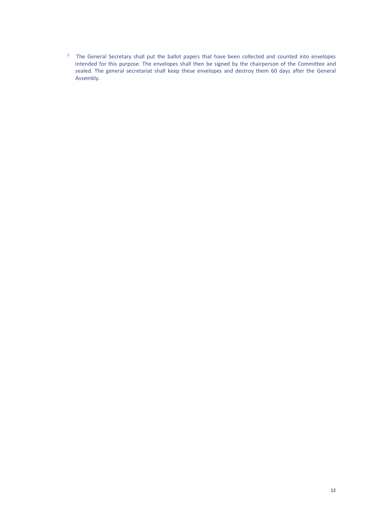<sup>5</sup> The General Secretary shall put the ballot papers that have been collected and counted into envelopes intended for this purpose. The envelopes shall then be signed by the chairperson of the Committee and sealed. The general secretariat shall keep these envelopes and destroy them 60 days after the General Assembly.